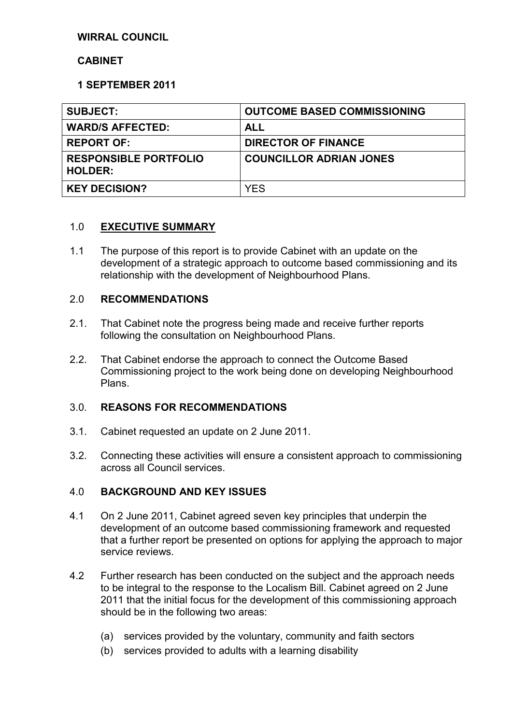# **WIRRAL COUNCIL**

### **CABINET**

# **1 SEPTEMBER 2011**

| <b>SUBJECT:</b>                                | <b>OUTCOME BASED COMMISSIONING</b> |
|------------------------------------------------|------------------------------------|
| <b>WARD/S AFFECTED:</b>                        | <b>ALL</b>                         |
| <b>REPORT OF:</b>                              | <b>DIRECTOR OF FINANCE</b>         |
| <b>RESPONSIBLE PORTFOLIO</b><br><b>HOLDER:</b> | <b>COUNCILLOR ADRIAN JONES</b>     |
| <b>KEY DECISION?</b>                           | <b>YES</b>                         |
|                                                |                                    |

# 1.0 **EXECUTIVE SUMMARY**

1.1 The purpose of this report is to provide Cabinet with an update on the development of a strategic approach to outcome based commissioning and its relationship with the development of Neighbourhood Plans.

### 2.0 **RECOMMENDATIONS**

- 2.1. That Cabinet note the progress being made and receive further reports following the consultation on Neighbourhood Plans.
- 2.2. That Cabinet endorse the approach to connect the Outcome Based Commissioning project to the work being done on developing Neighbourhood Plans.

### 3.0. **REASONS FOR RECOMMENDATIONS**

- 3.1. Cabinet requested an update on 2 June 2011.
- 3.2. Connecting these activities will ensure a consistent approach to commissioning across all Council services.

### 4.0 **BACKGROUND AND KEY ISSUES**

- 4.1 On 2 June 2011, Cabinet agreed seven key principles that underpin the development of an outcome based commissioning framework and requested that a further report be presented on options for applying the approach to major service reviews.
- 4.2 Further research has been conducted on the subject and the approach needs to be integral to the response to the Localism Bill. Cabinet agreed on 2 June 2011 that the initial focus for the development of this commissioning approach should be in the following two areas:
	- (a) services provided by the voluntary, community and faith sectors
	- (b) services provided to adults with a learning disability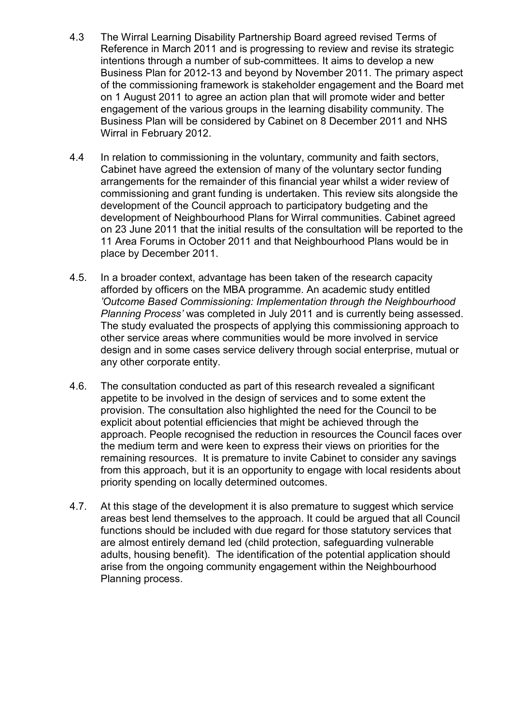- 4.3 The Wirral Learning Disability Partnership Board agreed revised Terms of Reference in March 2011 and is progressing to review and revise its strategic intentions through a number of sub-committees. It aims to develop a new Business Plan for 2012-13 and beyond by November 2011. The primary aspect of the commissioning framework is stakeholder engagement and the Board met on 1 August 2011 to agree an action plan that will promote wider and better engagement of the various groups in the learning disability community. The Business Plan will be considered by Cabinet on 8 December 2011 and NHS Wirral in February 2012.
- 4.4 In relation to commissioning in the voluntary, community and faith sectors, Cabinet have agreed the extension of many of the voluntary sector funding arrangements for the remainder of this financial year whilst a wider review of commissioning and grant funding is undertaken. This review sits alongside the development of the Council approach to participatory budgeting and the development of Neighbourhood Plans for Wirral communities. Cabinet agreed on 23 June 2011 that the initial results of the consultation will be reported to the 11 Area Forums in October 2011 and that Neighbourhood Plans would be in place by December 2011.
- 4.5. In a broader context, advantage has been taken of the research capacity afforded by officers on the MBA programme. An academic study entitled *'Outcome Based Commissioning: Implementation through the Neighbourhood Planning Process'* was completed in July 2011 and is currently being assessed. The study evaluated the prospects of applying this commissioning approach to other service areas where communities would be more involved in service design and in some cases service delivery through social enterprise, mutual or any other corporate entity.
- 4.6. The consultation conducted as part of this research revealed a significant appetite to be involved in the design of services and to some extent the provision. The consultation also highlighted the need for the Council to be explicit about potential efficiencies that might be achieved through the approach. People recognised the reduction in resources the Council faces over the medium term and were keen to express their views on priorities for the remaining resources. It is premature to invite Cabinet to consider any savings from this approach, but it is an opportunity to engage with local residents about priority spending on locally determined outcomes.
- 4.7. At this stage of the development it is also premature to suggest which service areas best lend themselves to the approach. It could be argued that all Council functions should be included with due regard for those statutory services that are almost entirely demand led (child protection, safeguarding vulnerable adults, housing benefit). The identification of the potential application should arise from the ongoing community engagement within the Neighbourhood Planning process.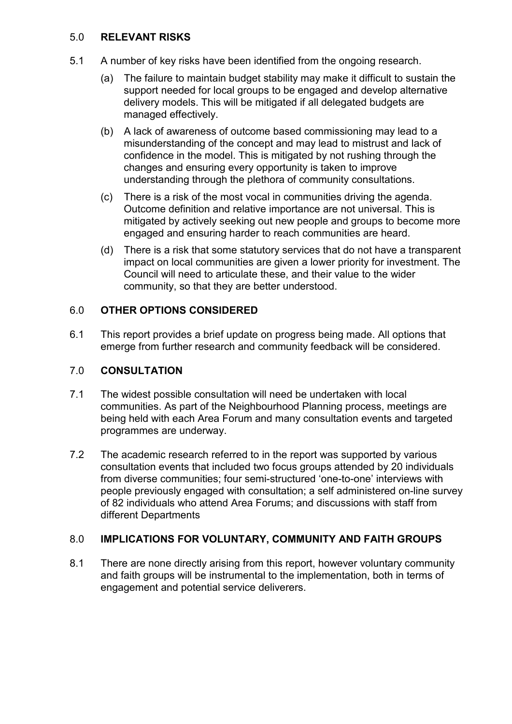# 5.0 **RELEVANT RISKS**

- 5.1 A number of key risks have been identified from the ongoing research.
	- (a) The failure to maintain budget stability may make it difficult to sustain the support needed for local groups to be engaged and develop alternative delivery models. This will be mitigated if all delegated budgets are managed effectively.
	- (b) A lack of awareness of outcome based commissioning may lead to a misunderstanding of the concept and may lead to mistrust and lack of confidence in the model. This is mitigated by not rushing through the changes and ensuring every opportunity is taken to improve understanding through the plethora of community consultations.
	- (c) There is a risk of the most vocal in communities driving the agenda. Outcome definition and relative importance are not universal. This is mitigated by actively seeking out new people and groups to become more engaged and ensuring harder to reach communities are heard.
	- (d) There is a risk that some statutory services that do not have a transparent impact on local communities are given a lower priority for investment. The Council will need to articulate these, and their value to the wider community, so that they are better understood.

# 6.0 **OTHER OPTIONS CONSIDERED**

6.1 This report provides a brief update on progress being made. All options that emerge from further research and community feedback will be considered.

# 7.0 **CONSULTATION**

- 7.1 The widest possible consultation will need be undertaken with local communities. As part of the Neighbourhood Planning process, meetings are being held with each Area Forum and many consultation events and targeted programmes are underway.
- 7.2 The academic research referred to in the report was supported by various consultation events that included two focus groups attended by 20 individuals from diverse communities; four semi-structured 'one-to-one' interviews with people previously engaged with consultation; a self administered on-line survey of 82 individuals who attend Area Forums; and discussions with staff from different Departments

# 8.0 **IMPLICATIONS FOR VOLUNTARY, COMMUNITY AND FAITH GROUPS**

8.1 There are none directly arising from this report, however voluntary community and faith groups will be instrumental to the implementation, both in terms of engagement and potential service deliverers.